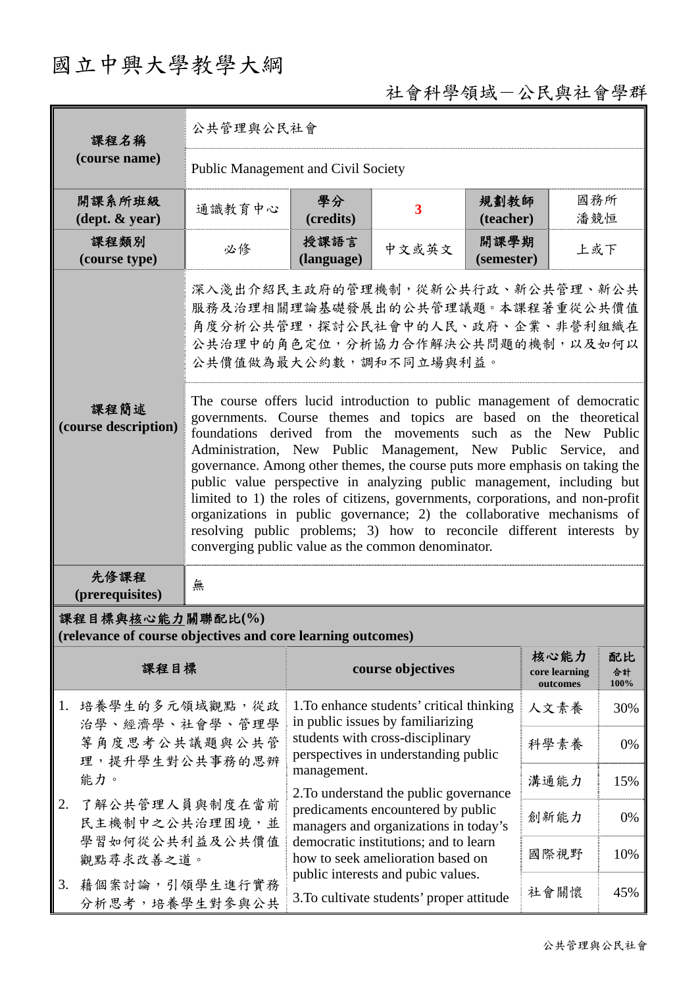## 國立中興大學教學大綱

## 社會科學領域-公民與社會學群

| 課程名稱                                                                                                                                                                                             | 公共管理與公民社會                                                                                                                                                                                                                                                                                                                                                                                                                                                                                                                                                                                                                                                                                                                                                                                                                                                                                                         |                                                                                                                                                                                                                                                                                                                                                                                  |       |                                   |                  |     |  |
|--------------------------------------------------------------------------------------------------------------------------------------------------------------------------------------------------|-------------------------------------------------------------------------------------------------------------------------------------------------------------------------------------------------------------------------------------------------------------------------------------------------------------------------------------------------------------------------------------------------------------------------------------------------------------------------------------------------------------------------------------------------------------------------------------------------------------------------------------------------------------------------------------------------------------------------------------------------------------------------------------------------------------------------------------------------------------------------------------------------------------------|----------------------------------------------------------------------------------------------------------------------------------------------------------------------------------------------------------------------------------------------------------------------------------------------------------------------------------------------------------------------------------|-------|-----------------------------------|------------------|-----|--|
| (course name)                                                                                                                                                                                    | <b>Public Management and Civil Society</b>                                                                                                                                                                                                                                                                                                                                                                                                                                                                                                                                                                                                                                                                                                                                                                                                                                                                        |                                                                                                                                                                                                                                                                                                                                                                                  |       |                                   |                  |     |  |
| 開課系所班級<br>$(\text{dept.} \& \text{ year})$                                                                                                                                                       | 通識教育中心                                                                                                                                                                                                                                                                                                                                                                                                                                                                                                                                                                                                                                                                                                                                                                                                                                                                                                            | 學分<br>(credits)                                                                                                                                                                                                                                                                                                                                                                  | 3     | 規劃教師<br>(teacher)                 | 國務所<br>潘競恒       |     |  |
| 課程類別<br>(course type)                                                                                                                                                                            | 必修                                                                                                                                                                                                                                                                                                                                                                                                                                                                                                                                                                                                                                                                                                                                                                                                                                                                                                                | 授課語言<br>(language)                                                                                                                                                                                                                                                                                                                                                               | 中文或英文 | 開課學期<br>(semester)                | 上或下              |     |  |
|                                                                                                                                                                                                  | 深入淺出介紹民主政府的管理機制,從新公共行政、新公共管理、新公共<br>服務及治理相關理論基礎發展出的公共管理議題。本課程著重從公共價值<br>角度分析公共管理,探討公民社會中的人民、政府、企業、非營利組織在<br>公共治理中的角色定位,分析協力合作解決公共問題的機制,以及如何以<br>公共價值做為最大公約數,調和不同立場與利益。<br>The course offers lucid introduction to public management of democratic<br>governments. Course themes and topics are based on the theoretical<br>foundations derived from the movements such as the New Public<br>Administration, New Public Management, New Public Service,<br>and<br>governance. Among other themes, the course puts more emphasis on taking the<br>public value perspective in analyzing public management, including but<br>limited to 1) the roles of citizens, governments, corporations, and non-profit<br>organizations in public governance; 2) the collaborative mechanisms of<br>resolving public problems; 3) how to reconcile different interests by<br>converging public value as the common denominator. |                                                                                                                                                                                                                                                                                                                                                                                  |       |                                   |                  |     |  |
| 課程簡述<br>(course description)                                                                                                                                                                     |                                                                                                                                                                                                                                                                                                                                                                                                                                                                                                                                                                                                                                                                                                                                                                                                                                                                                                                   |                                                                                                                                                                                                                                                                                                                                                                                  |       |                                   |                  |     |  |
| 先修課程<br>(prerequisites)                                                                                                                                                                          | 無                                                                                                                                                                                                                                                                                                                                                                                                                                                                                                                                                                                                                                                                                                                                                                                                                                                                                                                 |                                                                                                                                                                                                                                                                                                                                                                                  |       |                                   |                  |     |  |
| 課程目標與核心能力關聯配比(%)<br>(relevance of course objectives and core learning outcomes)                                                                                                                  |                                                                                                                                                                                                                                                                                                                                                                                                                                                                                                                                                                                                                                                                                                                                                                                                                                                                                                                   |                                                                                                                                                                                                                                                                                                                                                                                  |       |                                   |                  |     |  |
| 課程目標                                                                                                                                                                                             |                                                                                                                                                                                                                                                                                                                                                                                                                                                                                                                                                                                                                                                                                                                                                                                                                                                                                                                   | course objectives                                                                                                                                                                                                                                                                                                                                                                |       | 核心能力<br>core learning<br>outcomes | 配比<br>合計<br>100% |     |  |
| 1. 培養學生的多元領域觀點,從政<br>治學、經濟學、社會學、管理學<br>等角度思考公共議題與公共管<br>理,提升學生對公共事務的思辨<br>能力。<br>了解公共管理人員與制度在當前<br>2.<br>民主機制中之公共治理困境,並<br>學習如何從公共利益及公共價值<br>觀點尋求改善之道。<br>藉個案討論,引領學生進行實務<br>3.<br>分析思考,培養學生對參與公共 |                                                                                                                                                                                                                                                                                                                                                                                                                                                                                                                                                                                                                                                                                                                                                                                                                                                                                                                   | 1. To enhance students' critical thinking<br>in public issues by familiarizing<br>students with cross-disciplinary<br>perspectives in understanding public<br>management.<br>2. To understand the public governance<br>predicaments encountered by public<br>managers and organizations in today's<br>democratic institutions; and to learn<br>how to seek amelioration based on |       |                                   | 人文素養             | 30% |  |
|                                                                                                                                                                                                  |                                                                                                                                                                                                                                                                                                                                                                                                                                                                                                                                                                                                                                                                                                                                                                                                                                                                                                                   |                                                                                                                                                                                                                                                                                                                                                                                  |       |                                   | 科學素養             | 0%  |  |
|                                                                                                                                                                                                  |                                                                                                                                                                                                                                                                                                                                                                                                                                                                                                                                                                                                                                                                                                                                                                                                                                                                                                                   |                                                                                                                                                                                                                                                                                                                                                                                  |       |                                   | 溝通能力             | 15% |  |
|                                                                                                                                                                                                  |                                                                                                                                                                                                                                                                                                                                                                                                                                                                                                                                                                                                                                                                                                                                                                                                                                                                                                                   |                                                                                                                                                                                                                                                                                                                                                                                  |       |                                   | 創新能力             | 0%  |  |
|                                                                                                                                                                                                  |                                                                                                                                                                                                                                                                                                                                                                                                                                                                                                                                                                                                                                                                                                                                                                                                                                                                                                                   |                                                                                                                                                                                                                                                                                                                                                                                  |       |                                   | 國際視野             | 10% |  |
|                                                                                                                                                                                                  |                                                                                                                                                                                                                                                                                                                                                                                                                                                                                                                                                                                                                                                                                                                                                                                                                                                                                                                   | public interests and pubic values.<br>3. To cultivate students' proper attitude                                                                                                                                                                                                                                                                                                  |       | 社會關懷                              | 45%              |     |  |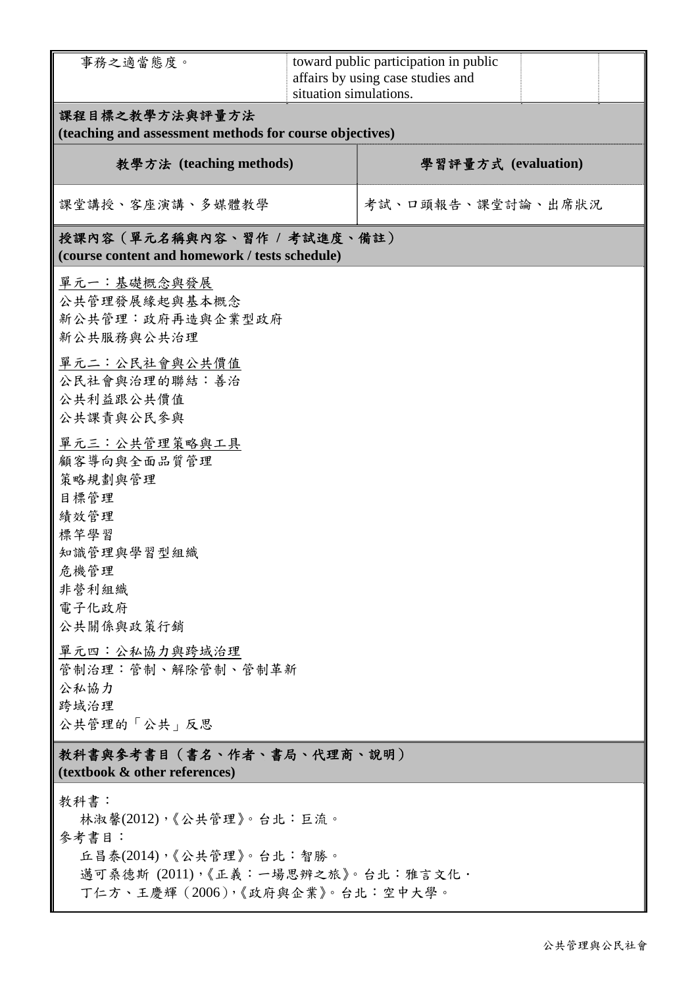| 事務之適當態度。                                                                                                                                    | situation simulations. | toward public participation in public<br>affairs by using case studies and |  |  |  |  |  |  |
|---------------------------------------------------------------------------------------------------------------------------------------------|------------------------|----------------------------------------------------------------------------|--|--|--|--|--|--|
| 課程目標之教學方法與評量方法<br>(teaching and assessment methods for course objectives)                                                                   |                        |                                                                            |  |  |  |  |  |  |
| 教學方法 (teaching methods)                                                                                                                     | 學習評量方式 (evaluation)    |                                                                            |  |  |  |  |  |  |
| 課堂講授、客座演講、多媒體教學                                                                                                                             |                        | 考試、口頭報告、課堂討論、出席狀況                                                          |  |  |  |  |  |  |
| 授課內容(單元名稱與內容、習作 / 考試進度、備註)<br>(course content and homework / tests schedule)                                                                |                        |                                                                            |  |  |  |  |  |  |
| 單元一:基礎概念與發展<br>公共管理發展緣起與基本概念<br>新公共管理:政府再造與企業型政府<br>新公共服務與公共治理                                                                              |                        |                                                                            |  |  |  |  |  |  |
| 單元二:公民社會與公共價值<br>公民社會與治理的聯結:善治<br>公共利益跟公共價值<br>公共課責與公民參與                                                                                    |                        |                                                                            |  |  |  |  |  |  |
| 單元三:公共管理策略與工具<br>顧客導向與全面品質管理<br>策略規劃與管理<br>目標管理<br>績效管理<br>標竿學習                                                                             |                        |                                                                            |  |  |  |  |  |  |
| 知識管理與學習型組織<br>危機管理<br>非營利組織<br>電子化政府<br>公共關係與政策行銷                                                                                           |                        |                                                                            |  |  |  |  |  |  |
| 單元四:公私協力與跨域治理<br>管制治理:管制、解除管制、管制革新<br>公私協力<br>跨域治理<br>公共管理的「公共」反思                                                                           |                        |                                                                            |  |  |  |  |  |  |
| 教科書與參考書目(書名、作者、書局、代理商、說明)<br>(textbook & other references)                                                                                  |                        |                                                                            |  |  |  |  |  |  |
| 教科書:<br>林淑馨(2012),《公共管理》。台北:巨流。<br>參考書目:<br>丘昌泰(2014),《公共管理》。台北:智勝。<br>邁可桑德斯 (2011),《正義:一場思辨之旅》。台北:雅言文化·<br>丁仁方、王慶輝 (2006),《政府與企業》。台北:空中大學。 |                        |                                                                            |  |  |  |  |  |  |